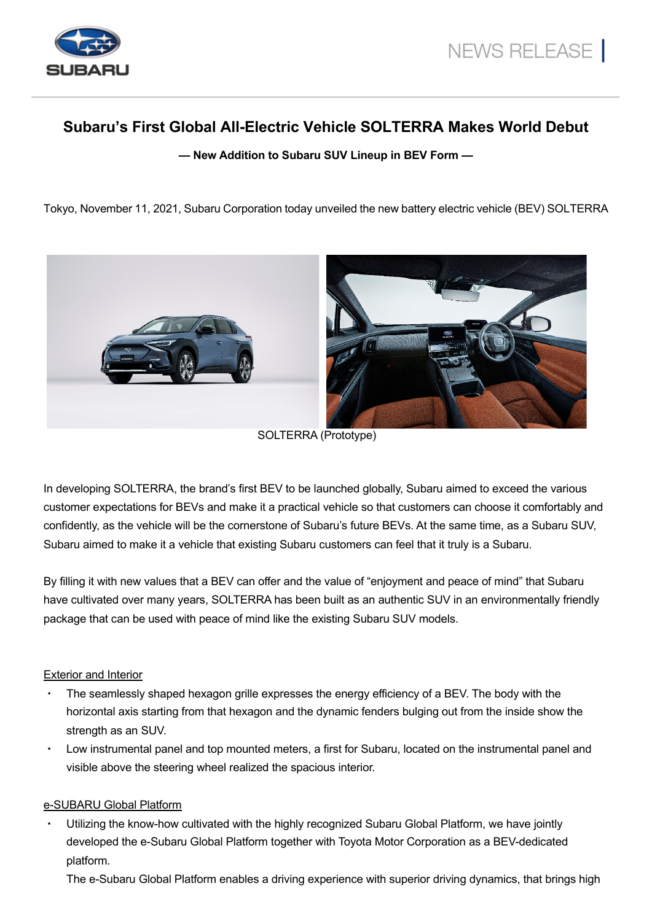

# **Subaru's First Global All-Electric Vehicle SOLTERRA Makes World Debut**

**— New Addition to Subaru SUV Lineup in BEV Form —** 

Tokyo, November 11, 2021, Subaru Corporation today unveiled the new battery electric vehicle (BEV) SOLTERRA



SOLTERRA (Prototype)

In developing SOLTERRA, the brand's first BEV to be launched globally, Subaru aimed to exceed the various customer expectations for BEVs and make it a practical vehicle so that customers can choose it comfortably and confidently, as the vehicle will be the cornerstone of Subaru's future BEVs. At the same time, as a Subaru SUV, Subaru aimed to make it a vehicle that existing Subaru customers can feel that it truly is a Subaru.

By filling it with new values that a BEV can offer and the value of "enjoyment and peace of mind" that Subaru have cultivated over many years, SOLTERRA has been built as an authentic SUV in an environmentally friendly package that can be used with peace of mind like the existing Subaru SUV models.

#### Exterior and Interior

- The seamlessly shaped hexagon grille expresses the energy efficiency of a BEV. The body with the horizontal axis starting from that hexagon and the dynamic fenders bulging out from the inside show the strength as an SUV.
- Low instrumental panel and top mounted meters, a first for Subaru, located on the instrumental panel and visible above the steering wheel realized the spacious interior.

#### e-SUBARU Global Platform

Utilizing the know-how cultivated with the highly recognized Subaru Global Platform, we have jointly developed the e-Subaru Global Platform together with Toyota Motor Corporation as a BEV-dedicated platform.

The e-Subaru Global Platform enables a driving experience with superior driving dynamics, that brings high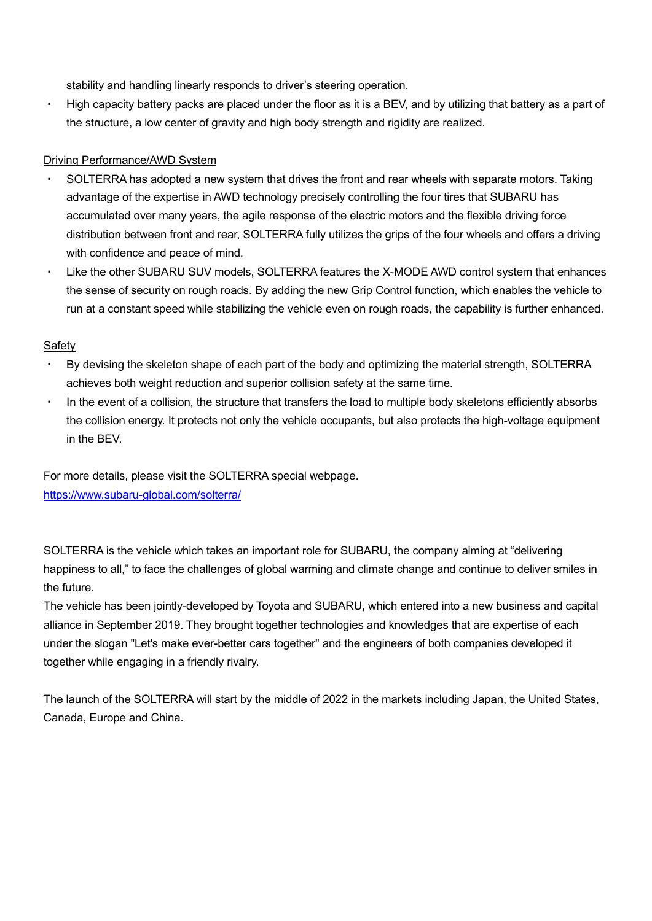stability and handling linearly responds to driver's steering operation.

・ High capacity battery packs are placed under the floor as it is a BEV, and by utilizing that battery as a part of the structure, a low center of gravity and high body strength and rigidity are realized.

### **Driving Performance/AWD System**

- SOLTERRA has adopted a new system that drives the front and rear wheels with separate motors. Taking advantage of the expertise in AWD technology precisely controlling the four tires that SUBARU has accumulated over many years, the agile response of the electric motors and the flexible driving force distribution between front and rear, SOLTERRA fully utilizes the grips of the four wheels and offers a driving with confidence and peace of mind.
- ・ Like the other SUBARU SUV models, SOLTERRA features the X-MODE AWD control system that enhances the sense of security on rough roads. By adding the new Grip Control function, which enables the vehicle to run at a constant speed while stabilizing the vehicle even on rough roads, the capability is further enhanced.

### Safety

- ・ By devising the skeleton shape of each part of the body and optimizing the material strength, SOLTERRA achieves both weight reduction and superior collision safety at the same time.
- ・ In the event of a collision, the structure that transfers the load to multiple body skeletons efficiently absorbs the collision energy. It protects not only the vehicle occupants, but also protects the high-voltage equipment in the BEV.

For more details, please visit the SOLTERRA special webpage. <https://www.subaru-global.com/solterra/>

SOLTERRA is the vehicle which takes an important role for SUBARU, the company aiming at "delivering happiness to all," to face the challenges of global warming and climate change and continue to deliver smiles in the future.

The vehicle has been jointly-developed by Toyota and SUBARU, which entered into a new business and capital alliance in September 2019. They brought together technologies and knowledges that are expertise of each under the slogan "Let's make ever-better cars together" and the engineers of both companies developed it together while engaging in a friendly rivalry.

The launch of the SOLTERRA will start by the middle of 2022 in the markets including Japan, the United States, Canada, Europe and China.